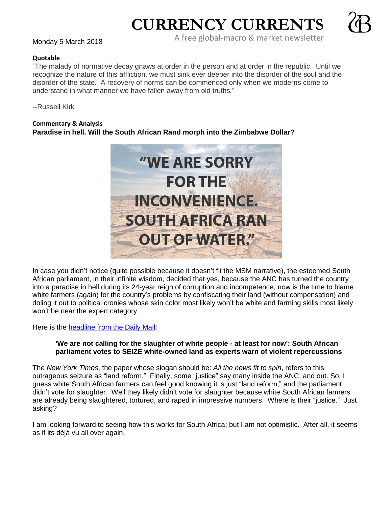# **CURRENCY CURRENTS**



A free global-macro & market newsletter Monday 5 March <sup>2018</sup>

#### **Quotable**

"The malady of normative decay gnaws at order in the person and at order in the republic. Until we recognize the nature of this affliction, we must sink ever deeper into the disorder of the soul and the disorder of the state. A recovery of norms can be commenced only when we moderns come to understand in what manner we have fallen away from old truths."

--Russell Kirk

#### **Commentary & Analysis**

## **Paradise in hell. Will the South African Rand morph into the Zimbabwe Dollar?**



In case you didn't notice (quite possible because it doesn't fit the MSM narrative), the esteemed South African parliament, in their infinite wisdom, decided that yes, because the ANC has turned the country into a paradise in hell during its 24-year reign of corruption and incompetence, now is the time to blame white farmers (again) for the country's problems by confiscating their land (without compensation) and doling it out to political cronies whose skin color most likely won't be white and farming skills most likely won't be near the expert category.

Here is the **headline from the Daily Mail:** 

### **'We are not calling for the slaughter of white people - at least for now': South African parliament votes to SEIZE white-owned land as experts warn of violent repercussions**

The *New York Times*, the paper whose slogan should be: *All the news fit to spin*, refers to this outrageous seizure as "land reform." Finally, some "justice" say many inside the ANC, and out. So, I guess white South African farmers can feel good knowing it is just "land reform," and the parliament didn't vote for slaughter. Well they likely didn't vote for slaughter because white South African farmers are already being slaughtered, tortured, and raped in impressive numbers. Where is their "justice." Just asking?

I am looking forward to seeing how this works for South Africa; but I am not optimistic. After all, it seems as if its déjà vu all over again.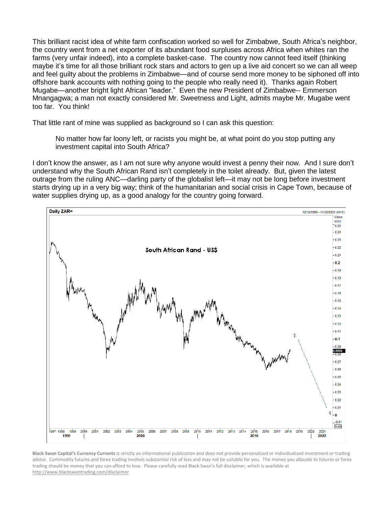This brilliant racist idea of white farm confiscation worked so well for Zimbabwe, South Africa's neighbor, the country went from a net exporter of its abundant food surpluses across Africa when whites ran the farms (very unfair indeed), into a complete basket-case. The country now cannot feed itself (thinking maybe it's time for all those brilliant rock stars and actors to gen up a live aid concert so we can all weep and feel guilty about the problems in Zimbabwe—and of course send more money to be siphoned off into offshore bank accounts with nothing going to the people who really need it). Thanks again Robert Mugabe—another bright light African "leader." Even the new President of Zimbabwe-- Emmerson Mnangagwa; a man not exactly considered Mr. Sweetness and Light, admits maybe Mr. Mugabe went too far. You think!

That little rant of mine was supplied as background so I can ask this question:

No matter how far loony left, or racists you might be, at what point do you stop putting any investment capital into South Africa?

I don't know the answer, as I am not sure why anyone would invest a penny their now. And I sure don't understand why the South African Rand isn't completely in the toilet already. But, given the latest outrage from the ruling ANC—darling party of the globalist left—it may not be long before investment starts drying up in a very big way; think of the humanitarian and social crisis in Cape Town, because of water supplies drying up, as a good analogy for the country going forward.



**Black Swan Capital's Currency Currents** is strictly an informational publication and does not provide personalized or individualized investment or trading advice. Commodity futures and forex trading involves substantial risk of loss and may not be suitable for you. The money you allocate to futures or forex trading should be money that you can afford to lose. Please carefully read Black Swan's full disclaimer, which is available at <http://www.blackswantrading.com/disclaimer>